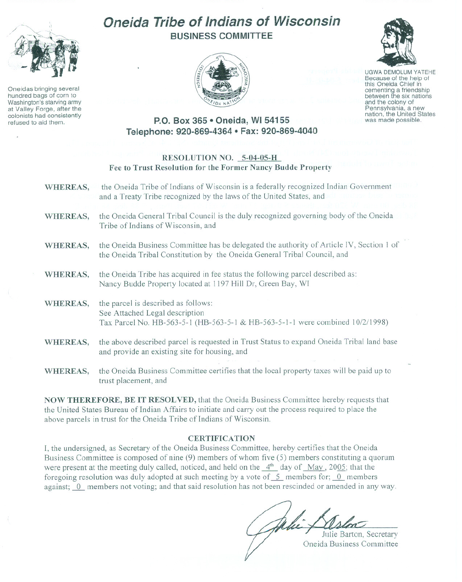

Oneidas bringing several hundred bags of corn to Washington's starving army at Valley Forge, after the colonists had consistently refused to aid them.

# **Oneida Tribe of Indians of Wisconsin BUSINESS COMMITTEE**



UGWA DEMOLUM YATEHE Because of the help of this Oneida Chief in cementing a friendship<br>between the six nations<br>and the colony of and the colony of Pennsylvania, a new<br>nation, the United States

was made possible.

## **P.O. Box 365· Oneida, WI 54155 Telephone: 920-869-4364 • Fax: 920-869-4040**

### **RESOLUTION NO, 5-04-05-H Fee to Trust Resolution for the Former Nancy Budde Prope"ty**

| WHEREAS,        | the Oneida Tribe of Indians of Wisconsin is a federally recognized Indian Government<br>and a Treaty Tribe recognized by the laws of the United States, and          |
|-----------------|----------------------------------------------------------------------------------------------------------------------------------------------------------------------|
| WHEREAS,        | the Oneida General Tribal Council is the duly recognized governing body of the Oneida<br>Tribe of Indians of Wisconsin, and                                          |
| WHEREAS,        | the Oneida Business Committee has be delegated the authority of Article IV, Section 1 of<br>the Oneida Tribal Constitution by the Oneida General Tribal Council, and |
| <b>WHEREAS,</b> | the Oneida Tribe has acquired in fee status the following parcel described as:<br>Nancy Budde Property located at 1197 Hill Dr, Green Bay, WI                        |
| <b>WHEREAS,</b> | the parcel is described as follows:<br>See Attached Legal description<br>Tax Parcel No. HB-563-5-1 (HB-563-5-1 & HB-563-5-1-1 were combined 10/2/1998)               |
| WHEREAS,        | the above described parcel is requested in Trust Status to expand Oneida Tribal land base<br>and provide an existing site for housing, and                           |
| WHEREAS,        | the Oneida Business Committee certifies that the local property taxes will be paid up to<br>trust placement, and                                                     |

**NOW THEREFORE, BE IT RESOLVED,** that the Oneida Business Committee hereby requests that the United States Bureau of Indian Affairs to initiate and carry out the process required to place the above parcels in trust for the Oneida Tribe of Indians of Wisconsin.

### **CERTIFICATION**

I, the undersigned, as Secretary of the Oneida Business Committee, hereby certifies that the Oneida Business Committee is composed of nine (9) members of whom five (5) members constituting a quorum were present at the meeting duly called, noticed, and held on the  $4<sup>th</sup>$  day of May, 2005; that the foregoing resolution was duly adopted at such meeting by a vote of  $5$  members for; 0 members against; 0 members not voting; and that said resolution has not been rescinded or amended in any way.

Unie Aslon Oneida Business Committee